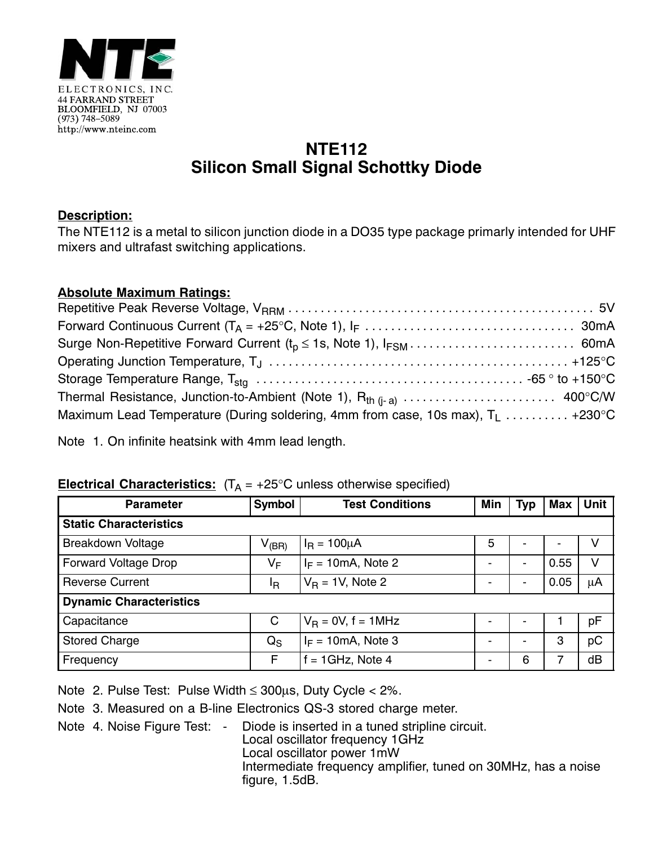

## **NTE112 Silicon Small Signal Schottky Diode**

## **Description:**

The NTE112 is a metal to silicon junction diode in a DO35 type package primarly intended for UHF mixers and ultrafast switching applications.

## **Absolute Maximum Ratings:**

| Maximum Lead Temperature (During soldering, 4mm from case, 10s max), $T_1$ +230°C |  |
|-----------------------------------------------------------------------------------|--|

Note 1. On infinite heatsink with 4mm lead length.

## **Electrical Characteristics:**  $(T_A = +25^\circ C$  unless otherwise specified)

| <b>Parameter</b>               | <b>Symbol</b>           | <b>Test Conditions</b>        | Min | Typ            | <b>Max</b> | <b>Unit</b> |  |
|--------------------------------|-------------------------|-------------------------------|-----|----------------|------------|-------------|--|
| <b>Static Characteristics</b>  |                         |                               |     |                |            |             |  |
| <b>Breakdown Voltage</b>       | $V_{\rm (BR)}$          | $I_{\rm B} = 100 \mu A$       | 5   |                |            | V           |  |
| <b>Forward Voltage Drop</b>    | VF                      | $I_F = 10 \text{mA}$ , Note 2 |     | -              | 0.55       | V           |  |
| <b>Reverse Current</b>         | ΙŖ                      | $V_B = 1V$ , Note 2           |     | $\blacksquare$ | 0.05       | μA          |  |
| <b>Dynamic Characteristics</b> |                         |                               |     |                |            |             |  |
| Capacitance                    | C                       | $V_{\rm B}$ = 0V, f = 1MHz    |     | $\blacksquare$ |            | pF          |  |
| <b>Stored Charge</b>           | $\mathsf{Q}_\mathsf{S}$ | $I_F = 10 \text{mA}$ , Note 3 |     | $\blacksquare$ | 3          | pC          |  |
| Frequency                      | F                       | $= 1$ GHz, Note 4             |     | 6              |            | dB          |  |

Note 2. Pulse Test: Pulse Width ≤ 300μs, Duty Cycle < 2%.

Note 3. Measured on a B-line Electronics QS-3 stored charge meter.

Note 4. Noise Figure Test: - Diode is inserted in a tuned stripline circuit. Local oscillator frequency 1GHz Local oscillator power 1mW Intermediate frequency amplifier, tuned on 30MHz, has a noise figure, 1.5dB.